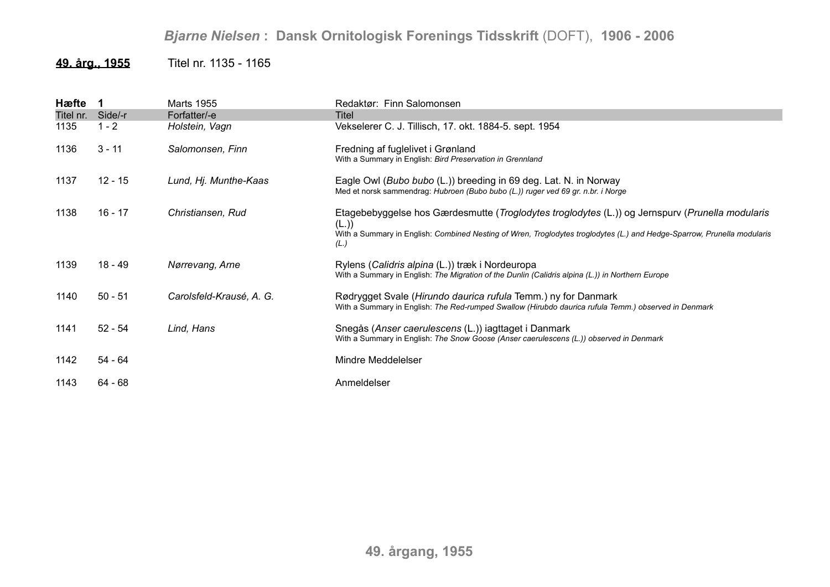## *Bjarne Nielsen* **: Dansk Ornitologisk Forenings Tidsskrift** (DOFT), **1906 - 2006**

## **49. årg., 1955** Titel nr. 1135 - 1165

| Hæfte     |           | <b>Marts 1955</b>        | Redaktør: Finn Salomonsen                                                                                                                                                                                                                  |
|-----------|-----------|--------------------------|--------------------------------------------------------------------------------------------------------------------------------------------------------------------------------------------------------------------------------------------|
| Titel nr. | Side/-r   | Forfatter/-e             | Titel                                                                                                                                                                                                                                      |
| 1135      | $1 - 2$   | Holstein, Vagn           | Vekselerer C. J. Tillisch, 17. okt. 1884-5. sept. 1954                                                                                                                                                                                     |
| 1136      | $3 - 11$  | Salomonsen, Finn         | Fredning af fuglelivet i Grønland<br>With a Summary in English: Bird Preservation in Grennland                                                                                                                                             |
| 1137      | $12 - 15$ | Lund, Hj. Munthe-Kaas    | Eagle Owl ( <i>Bubo bubo</i> (L.)) breeding in 69 deg. Lat. N. in Norway<br>Med et norsk sammendrag: Hubroen (Bubo bubo (L.)) ruger ved 69 gr. n.br. i Norge                                                                               |
| 1138      | 16 - 17   | Christiansen, Rud        | Etagebebyggelse hos Gærdesmutte (Troglodytes troglodytes (L.)) og Jernspurv (Prunella modularis<br>(L.)<br>With a Summary in English: Combined Nesting of Wren, Troglodytes troglodytes (L.) and Hedge-Sparrow, Prunella modularis<br>(L.) |
| 1139      | 18 - 49   | Nørrevang, Arne          | Rylens (Calidris alpina (L.)) træk i Nordeuropa<br>With a Summary in English: The Migration of the Dunlin (Calidris alpina (L.)) in Northern Europe                                                                                        |
| 1140      | $50 - 51$ | Carolsfeld-Krausé, A. G. | Rødrygget Svale (Hirundo daurica rufula Temm.) ny for Danmark<br>With a Summary in English: The Red-rumped Swallow (Hirubdo daurica rufula Temm.) observed in Denmark                                                                      |
| 1141      | $52 - 54$ | Lind, Hans               | Snegås (Anser caerulescens (L.)) iagttaget i Danmark<br>With a Summary in English: The Snow Goose (Anser caerulescens (L.)) observed in Denmark                                                                                            |
| 1142      | 54 - 64   |                          | Mindre Meddelelser                                                                                                                                                                                                                         |
| 1143      | 64 - 68   |                          | Anmeldelser                                                                                                                                                                                                                                |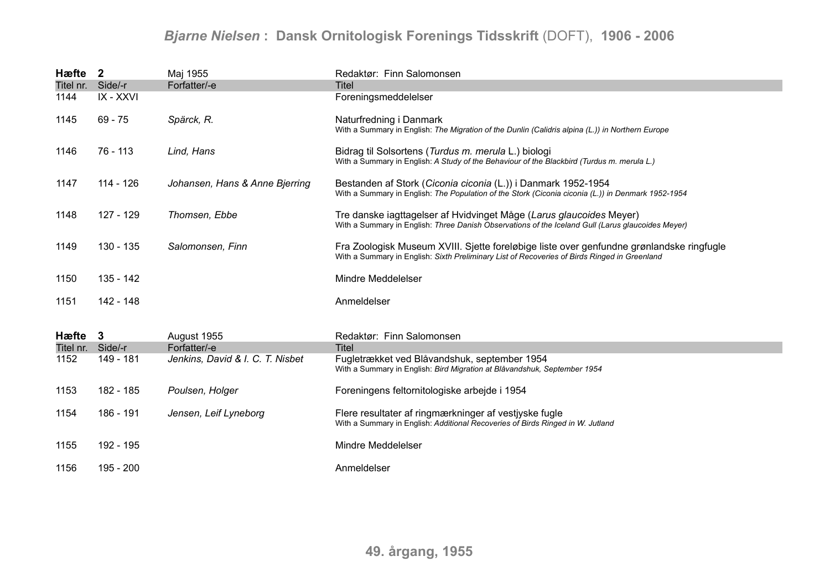## *Bjarne Nielsen* **: Dansk Ornitologisk Forenings Tidsskrift** (DOFT), **1906 - 2006**

| Hæfte             | $\overline{2}$ | Maj 1955                         | Redaktør: Finn Salomonsen                                                                                                                                                                |
|-------------------|----------------|----------------------------------|------------------------------------------------------------------------------------------------------------------------------------------------------------------------------------------|
| Titel nr.         | Side/-r        | Forfatter/-e                     | <b>Titel</b>                                                                                                                                                                             |
| 1144              | IX - XXVI      |                                  | Foreningsmeddelelser                                                                                                                                                                     |
| 1145              | $69 - 75$      | Spärck, R.                       | Naturfredning i Danmark<br>With a Summary in English: The Migration of the Dunlin (Calidris alpina (L.)) in Northern Europe                                                              |
| 1146              | 76 - 113       | Lind, Hans                       | Bidrag til Solsortens (Turdus m. merula L.) biologi<br>With a Summary in English: A Study of the Behaviour of the Blackbird (Turdus m. merula L.)                                        |
| 1147              | 114 - 126      | Johansen, Hans & Anne Bjerring   | Bestanden af Stork (Ciconia ciconia (L.)) i Danmark 1952-1954<br>With a Summary in English: The Population of the Stork (Ciconia ciconia (L.)) in Denmark 1952-1954                      |
| 1148              | 127 - 129      | Thomsen, Ebbe                    | Tre danske iagttagelser af Hvidvinget Måge (Larus glaucoides Meyer)<br>With a Summary in English: Three Danish Observations of the Iceland Gull (Larus glaucoides Meyer)                 |
| 1149              | 130 - 135      | Salomonsen, Finn                 | Fra Zoologisk Museum XVIII. Sjette foreløbige liste over genfundne grønlandske ringfugle<br>With a Summary in English: Sixth Preliminary List of Recoveries of Birds Ringed in Greenland |
| 1150              | 135 - 142      |                                  | Mindre Meddelelser                                                                                                                                                                       |
| 1151              | 142 - 148      |                                  | Anmeldelser                                                                                                                                                                              |
| Hæfte 3           |                | August 1955                      | Redaktør: Finn Salomonsen                                                                                                                                                                |
| Titel nr. Side/-r |                | Forfatter/-e                     | Titel                                                                                                                                                                                    |
| 1152              | 149 - 181      | Jenkins, David & I. C. T. Nisbet | Fugletrækket ved Blåvandshuk, september 1954<br>With a Summary in English: Bird Migration at Blåvandshuk, September 1954                                                                 |
| 1153              | 182 - 185      | Poulsen, Holger                  | Foreningens feltornitologiske arbejde i 1954                                                                                                                                             |
| 1154              | 186 - 191      | Jensen, Leif Lyneborg            | Flere resultater af ringmærkninger af vestjyske fugle<br>With a Summary in English: Additional Recoveries of Birds Ringed in W. Jutland                                                  |
| 1155              | 192 - 195      |                                  | Mindre Meddelelser                                                                                                                                                                       |
| 1156              | 195 - 200      |                                  | Anmeldelser                                                                                                                                                                              |